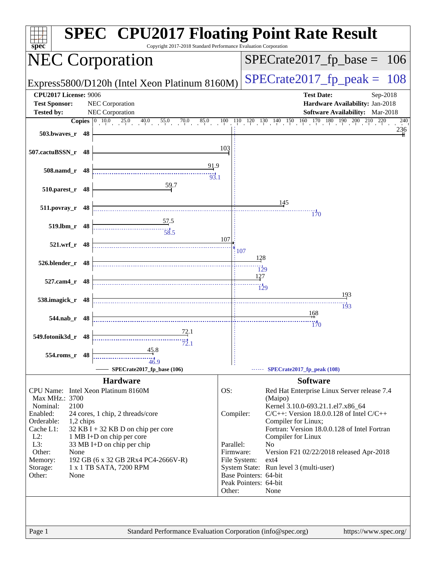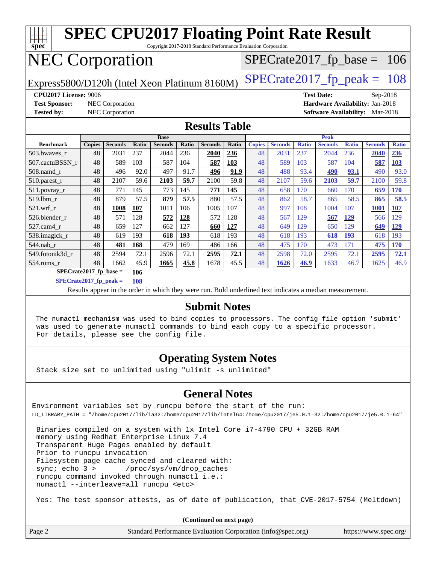

**[SPECrate2017\\_fp\\_peak =](http://www.spec.org/auto/cpu2017/Docs/result-fields.html#SPECrate2017fppeak) 108**

Results appear in the [order in which they were run.](http://www.spec.org/auto/cpu2017/Docs/result-fields.html#RunOrder) Bold underlined text [indicates a median measurement.](http://www.spec.org/auto/cpu2017/Docs/result-fields.html#Median)

#### **[Submit Notes](http://www.spec.org/auto/cpu2017/Docs/result-fields.html#SubmitNotes)**

 The numactl mechanism was used to bind copies to processors. The config file option 'submit' was used to generate numactl commands to bind each copy to a specific processor. For details, please see the config file.

#### **[Operating System Notes](http://www.spec.org/auto/cpu2017/Docs/result-fields.html#OperatingSystemNotes)**

Stack size set to unlimited using "ulimit -s unlimited"

#### **[General Notes](http://www.spec.org/auto/cpu2017/Docs/result-fields.html#GeneralNotes)**

Environment variables set by runcpu before the start of the run: LD\_LIBRARY\_PATH = "/home/cpu2017/lib/ia32:/home/cpu2017/lib/intel64:/home/cpu2017/je5.0.1-32:/home/cpu2017/je5.0.1-64"

 Binaries compiled on a system with 1x Intel Core i7-4790 CPU + 32GB RAM memory using Redhat Enterprise Linux 7.4 Transparent Huge Pages enabled by default Prior to runcpu invocation Filesystem page cache synced and cleared with: sync; echo 3 > /proc/sys/vm/drop\_caches runcpu command invoked through numactl i.e.: numactl --interleave=all runcpu <etc>

Yes: The test sponsor attests, as of date of publication, that CVE-2017-5754 (Meltdown)

**(Continued on next page)**

| Page 2 | Standard Performance Evaluation Corporation (info@spec.org) | https://www.spec.org/ |
|--------|-------------------------------------------------------------|-----------------------|
|--------|-------------------------------------------------------------|-----------------------|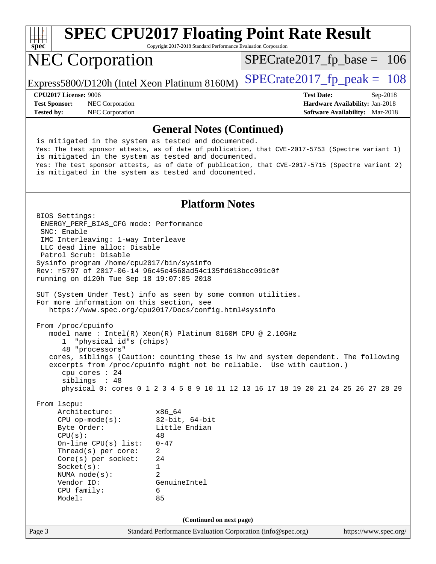

## **[SPEC CPU2017 Floating Point Rate Result](http://www.spec.org/auto/cpu2017/Docs/result-fields.html#SPECCPU2017FloatingPointRateResult)**

Copyright 2017-2018 Standard Performance Evaluation Corporation

## NEC Corporation

[SPECrate2017\\_fp\\_base =](http://www.spec.org/auto/cpu2017/Docs/result-fields.html#SPECrate2017fpbase) 106

Express5800/D120h (Intel Xeon Platinum 8160M)  $\left|$  [SPECrate2017\\_fp\\_peak =](http://www.spec.org/auto/cpu2017/Docs/result-fields.html#SPECrate2017fppeak) 108

**[Test Sponsor:](http://www.spec.org/auto/cpu2017/Docs/result-fields.html#TestSponsor)** NEC Corporation **[Hardware Availability:](http://www.spec.org/auto/cpu2017/Docs/result-fields.html#HardwareAvailability)** Jan-2018

**[CPU2017 License:](http://www.spec.org/auto/cpu2017/Docs/result-fields.html#CPU2017License)** 9006 **[Test Date:](http://www.spec.org/auto/cpu2017/Docs/result-fields.html#TestDate)** Sep-2018 **[Tested by:](http://www.spec.org/auto/cpu2017/Docs/result-fields.html#Testedby)** NEC Corporation **[Software Availability:](http://www.spec.org/auto/cpu2017/Docs/result-fields.html#SoftwareAvailability)** Mar-2018

#### **[General Notes \(Continued\)](http://www.spec.org/auto/cpu2017/Docs/result-fields.html#GeneralNotes)**

 is mitigated in the system as tested and documented. Yes: The test sponsor attests, as of date of publication, that CVE-2017-5753 (Spectre variant 1) is mitigated in the system as tested and documented. Yes: The test sponsor attests, as of date of publication, that CVE-2017-5715 (Spectre variant 2) is mitigated in the system as tested and documented.

#### **[Platform Notes](http://www.spec.org/auto/cpu2017/Docs/result-fields.html#PlatformNotes)**

Page 3 Standard Performance Evaluation Corporation [\(info@spec.org\)](mailto:info@spec.org) <https://www.spec.org/> BIOS Settings: ENERGY\_PERF\_BIAS\_CFG mode: Performance SNC: Enable IMC Interleaving: 1-way Interleave LLC dead line alloc: Disable Patrol Scrub: Disable Sysinfo program /home/cpu2017/bin/sysinfo Rev: r5797 of 2017-06-14 96c45e4568ad54c135fd618bcc091c0f running on d120h Tue Sep 18 19:07:05 2018 SUT (System Under Test) info as seen by some common utilities. For more information on this section, see <https://www.spec.org/cpu2017/Docs/config.html#sysinfo> From /proc/cpuinfo model name : Intel(R) Xeon(R) Platinum 8160M CPU @ 2.10GHz 1 "physical id"s (chips) 48 "processors" cores, siblings (Caution: counting these is hw and system dependent. The following excerpts from /proc/cpuinfo might not be reliable. Use with caution.) cpu cores : 24 siblings : 48 physical 0: cores 0 1 2 3 4 5 8 9 10 11 12 13 16 17 18 19 20 21 24 25 26 27 28 29 From lscpu: Architecture: x86\_64 CPU op-mode(s): 32-bit, 64-bit Byte Order: Little Endian  $CPU(s):$  48 On-line CPU(s) list: 0-47 Thread(s) per core: 2 Core(s) per socket: 24 Socket(s): 1 NUMA node(s): 2 Vendor ID: GenuineIntel CPU family: 6 Model: 85 **(Continued on next page)**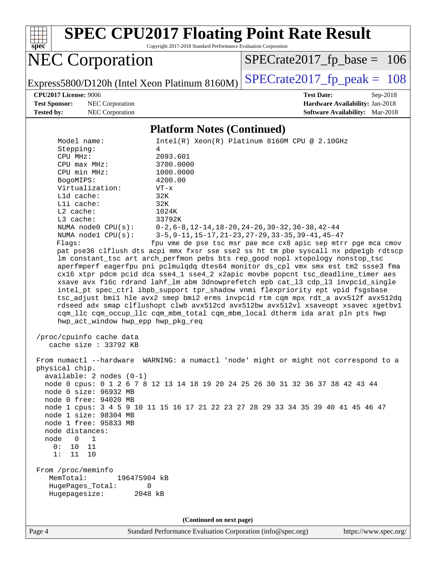

**(Continued on next page)**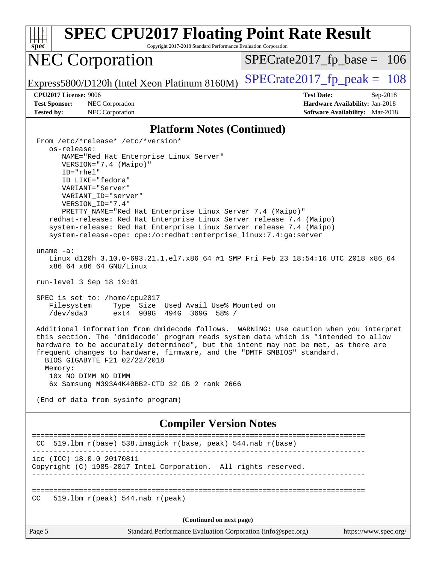| <b>SPEC CPU2017 Floating Point Rate Result</b><br>Copyright 2017-2018 Standard Performance Evaluation Corporation                                                                                                                                                                                                                                                                                                                                                                                                                                                                                                                                                                                                                                                                                                                                                                                                                                                                                                                                                                                                                                                                                                                                                     |                                                                                                              |  |
|-----------------------------------------------------------------------------------------------------------------------------------------------------------------------------------------------------------------------------------------------------------------------------------------------------------------------------------------------------------------------------------------------------------------------------------------------------------------------------------------------------------------------------------------------------------------------------------------------------------------------------------------------------------------------------------------------------------------------------------------------------------------------------------------------------------------------------------------------------------------------------------------------------------------------------------------------------------------------------------------------------------------------------------------------------------------------------------------------------------------------------------------------------------------------------------------------------------------------------------------------------------------------|--------------------------------------------------------------------------------------------------------------|--|
| spec<br><b>NEC Corporation</b>                                                                                                                                                                                                                                                                                                                                                                                                                                                                                                                                                                                                                                                                                                                                                                                                                                                                                                                                                                                                                                                                                                                                                                                                                                        | $SPECrate2017_fp\_base = 106$                                                                                |  |
| Express5800/D120h (Intel Xeon Platinum 8160M)                                                                                                                                                                                                                                                                                                                                                                                                                                                                                                                                                                                                                                                                                                                                                                                                                                                                                                                                                                                                                                                                                                                                                                                                                         | $SPECrate2017_fp\_peak = 108$                                                                                |  |
| <b>CPU2017 License: 9006</b><br><b>Test Sponsor:</b><br>NEC Corporation<br><b>Tested by:</b><br>NEC Corporation                                                                                                                                                                                                                                                                                                                                                                                                                                                                                                                                                                                                                                                                                                                                                                                                                                                                                                                                                                                                                                                                                                                                                       | <b>Test Date:</b><br>$Sep-2018$<br>Hardware Availability: Jan-2018<br><b>Software Availability:</b> Mar-2018 |  |
| <b>Platform Notes (Continued)</b>                                                                                                                                                                                                                                                                                                                                                                                                                                                                                                                                                                                                                                                                                                                                                                                                                                                                                                                                                                                                                                                                                                                                                                                                                                     |                                                                                                              |  |
| From /etc/*release* /etc/*version*<br>os-release:<br>NAME="Red Hat Enterprise Linux Server"<br>VERSION="7.4 (Maipo)"<br>ID="rhel"<br>ID LIKE="fedora"<br>VARIANT="Server"<br>VARIANT_ID="server"<br>VERSION_ID="7.4"<br>PRETTY_NAME="Red Hat Enterprise Linux Server 7.4 (Maipo)"<br>redhat-release: Red Hat Enterprise Linux Server release 7.4 (Maipo)<br>system-release: Red Hat Enterprise Linux Server release 7.4 (Maipo)<br>system-release-cpe: cpe:/o:redhat:enterprise_linux:7.4:ga:server<br>uname $-a$ :<br>Linux d120h 3.10.0-693.21.1.el7.x86_64 #1 SMP Fri Feb 23 18:54:16 UTC 2018 x86_64<br>x86_64 x86_64 GNU/Linux<br>run-level 3 Sep 18 19:01<br>SPEC is set to: /home/cpu2017<br>Type Size Used Avail Use% Mounted on<br>Filesystem<br>/dev/sda3<br>ext4 909G 494G 369G 58% /<br>Additional information from dmidecode follows. WARNING: Use caution when you interpret<br>this section. The 'dmidecode' program reads system data which is "intended to allow<br>hardware to be accurately determined", but the intent may not be met, as there are<br>frequent changes to hardware, firmware, and the "DMTF SMBIOS" standard.<br>BIOS GIGABYTE F21 02/22/2018<br>Memory:<br>10x NO DIMM NO DIMM<br>6x Samsung M393A4K40BB2-CTD 32 GB 2 rank 2666 |                                                                                                              |  |
| <b>Compiler Version Notes</b>                                                                                                                                                                                                                                                                                                                                                                                                                                                                                                                                                                                                                                                                                                                                                                                                                                                                                                                                                                                                                                                                                                                                                                                                                                         |                                                                                                              |  |
| 519.1bm_r(base) 538.imagick_r(base, peak) 544.nab_r(base)<br>CC.                                                                                                                                                                                                                                                                                                                                                                                                                                                                                                                                                                                                                                                                                                                                                                                                                                                                                                                                                                                                                                                                                                                                                                                                      |                                                                                                              |  |
| icc (ICC) 18.0.0 20170811<br>Copyright (C) 1985-2017 Intel Corporation. All rights reserved.                                                                                                                                                                                                                                                                                                                                                                                                                                                                                                                                                                                                                                                                                                                                                                                                                                                                                                                                                                                                                                                                                                                                                                          |                                                                                                              |  |
| $519.1bm_r(peak) 544.nab_r(peak)$<br>CC.                                                                                                                                                                                                                                                                                                                                                                                                                                                                                                                                                                                                                                                                                                                                                                                                                                                                                                                                                                                                                                                                                                                                                                                                                              |                                                                                                              |  |
| (Continued on next page)                                                                                                                                                                                                                                                                                                                                                                                                                                                                                                                                                                                                                                                                                                                                                                                                                                                                                                                                                                                                                                                                                                                                                                                                                                              |                                                                                                              |  |
| Page 5<br>Standard Performance Evaluation Corporation (info@spec.org)                                                                                                                                                                                                                                                                                                                                                                                                                                                                                                                                                                                                                                                                                                                                                                                                                                                                                                                                                                                                                                                                                                                                                                                                 | https://www.spec.org/                                                                                        |  |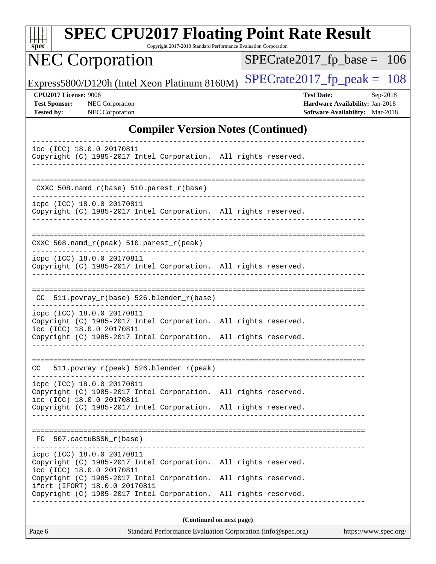|                                                                    | <b>NEC Corporation</b>                                  |                                                                                                                                    | Copyright 2017-2018 Standard Performance Evaluation Corporation | $SPECrate2017_fp\_base = 106$                                                                  |          |
|--------------------------------------------------------------------|---------------------------------------------------------|------------------------------------------------------------------------------------------------------------------------------------|-----------------------------------------------------------------|------------------------------------------------------------------------------------------------|----------|
|                                                                    |                                                         |                                                                                                                                    |                                                                 |                                                                                                |          |
|                                                                    |                                                         | Express5800/D120h (Intel Xeon Platinum 8160M)                                                                                      |                                                                 | $SPECrate2017_fp\_peak = 108$                                                                  |          |
| CPU2017 License: 9006<br><b>Test Sponsor:</b><br><b>Tested by:</b> | NEC Corporation<br>NEC Corporation                      |                                                                                                                                    |                                                                 | <b>Test Date:</b><br>Hardware Availability: Jan-2018<br><b>Software Availability:</b> Mar-2018 | Sep-2018 |
|                                                                    |                                                         | <b>Compiler Version Notes (Continued)</b>                                                                                          |                                                                 |                                                                                                |          |
|                                                                    | icc (ICC) 18.0.0 20170811                               | Copyright (C) 1985-2017 Intel Corporation. All rights reserved.                                                                    |                                                                 |                                                                                                |          |
|                                                                    |                                                         | CXXC 508.namd_r(base) 510.parest_r(base)                                                                                           |                                                                 |                                                                                                |          |
|                                                                    | icpc (ICC) 18.0.0 20170811                              | Copyright (C) 1985-2017 Intel Corporation. All rights reserved.                                                                    |                                                                 |                                                                                                |          |
|                                                                    |                                                         | $CXXC 508.namd_r (peak) 510.parest_r (peak)$                                                                                       |                                                                 | --------------------------------------                                                         |          |
|                                                                    | icpc (ICC) 18.0.0 20170811                              | Copyright (C) 1985-2017 Intel Corporation. All rights reserved.                                                                    |                                                                 |                                                                                                |          |
| CC.                                                                |                                                         | 511.povray_r(base) 526.blender_r(base)                                                                                             |                                                                 |                                                                                                |          |
|                                                                    | icpc (ICC) 18.0.0 20170811<br>icc (ICC) 18.0.0 20170811 | Copyright (C) 1985-2017 Intel Corporation. All rights reserved.<br>Copyright (C) 1985-2017 Intel Corporation. All rights reserved. |                                                                 |                                                                                                |          |
| CC.                                                                | . _ _ _ _ _ _ _ _ _ _ _ _ _ _ _ _ _ _                   | 511.povray_r(peak) 526.blender_r(peak)                                                                                             |                                                                 |                                                                                                |          |
|                                                                    | icpc (ICC) 18.0.0 20170811<br>icc (ICC) 18.0.0 20170811 | Copyright (C) 1985-2017 Intel Corporation. All rights reserved.<br>Copyright (C) 1985-2017 Intel Corporation. All rights reserved. |                                                                 |                                                                                                |          |
| FC<br>$- - - -$                                                    | 507.cactuBSSN r(base)                                   |                                                                                                                                    |                                                                 |                                                                                                |          |
|                                                                    | icpc (ICC) 18.0.0 20170811<br>icc (ICC) 18.0.0 20170811 | Copyright (C) 1985-2017 Intel Corporation. All rights reserved.<br>Copyright (C) 1985-2017 Intel Corporation. All rights reserved. |                                                                 |                                                                                                |          |
|                                                                    | ifort (IFORT) 18.0.0 20170811                           | Copyright (C) 1985-2017 Intel Corporation. All rights reserved.                                                                    |                                                                 |                                                                                                |          |

| ı | age |  |
|---|-----|--|
|   |     |  |

Standard Performance Evaluation Corporation [\(info@spec.org\)](mailto:info@spec.org) <https://www.spec.org/>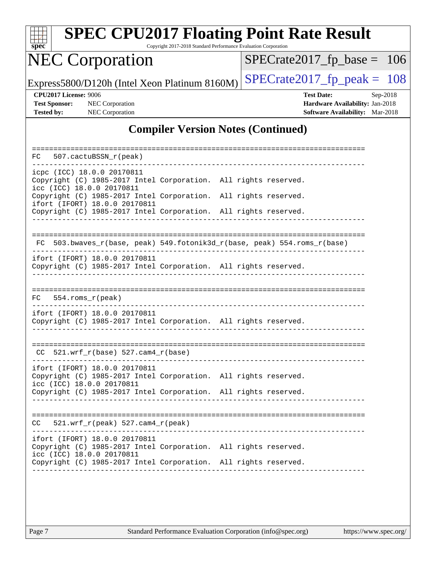

## **[SPEC CPU2017 Floating Point Rate Result](http://www.spec.org/auto/cpu2017/Docs/result-fields.html#SPECCPU2017FloatingPointRateResult)**

Copyright 2017-2018 Standard Performance Evaluation Corporation

## NEC Corporation

[SPECrate2017\\_fp\\_base =](http://www.spec.org/auto/cpu2017/Docs/result-fields.html#SPECrate2017fpbase) 106

Express5800/D120h (Intel Xeon Platinum 8160M) [SPECrate2017\\_fp\\_peak =](http://www.spec.org/auto/cpu2017/Docs/result-fields.html#SPECrate2017fppeak)  $108$ 

**[CPU2017 License:](http://www.spec.org/auto/cpu2017/Docs/result-fields.html#CPU2017License)** 9006 **[Test Date:](http://www.spec.org/auto/cpu2017/Docs/result-fields.html#TestDate)** Sep-2018 **[Test Sponsor:](http://www.spec.org/auto/cpu2017/Docs/result-fields.html#TestSponsor)** NEC Corporation **[Hardware Availability:](http://www.spec.org/auto/cpu2017/Docs/result-fields.html#HardwareAvailability)** Jan-2018 **[Tested by:](http://www.spec.org/auto/cpu2017/Docs/result-fields.html#Testedby)** NEC Corporation **[Software Availability:](http://www.spec.org/auto/cpu2017/Docs/result-fields.html#SoftwareAvailability)** Mar-2018

#### **[Compiler Version Notes \(Continued\)](http://www.spec.org/auto/cpu2017/Docs/result-fields.html#CompilerVersionNotes)**

| 507.cactuBSSN_r(peak)<br>FC.                                                                                                                                                                     |  |  |
|--------------------------------------------------------------------------------------------------------------------------------------------------------------------------------------------------|--|--|
| icpc (ICC) 18.0.0 20170811<br>Copyright (C) 1985-2017 Intel Corporation. All rights reserved.<br>icc (ICC) 18.0.0 20170811                                                                       |  |  |
| Copyright (C) 1985-2017 Intel Corporation. All rights reserved.<br>ifort (IFORT) 18.0.0 20170811                                                                                                 |  |  |
| Copyright (C) 1985-2017 Intel Corporation. All rights reserved.                                                                                                                                  |  |  |
| 503.bwaves_r(base, peak) 549.fotonik3d_r(base, peak) 554.roms_r(base)<br>FC                                                                                                                      |  |  |
| ifort (IFORT) 18.0.0 20170811<br>Copyright (C) 1985-2017 Intel Corporation. All rights reserved.                                                                                                 |  |  |
| FC.<br>$554.rows_r (peak)$                                                                                                                                                                       |  |  |
| ifort (IFORT) 18.0.0 20170811<br>Copyright (C) 1985-2017 Intel Corporation. All rights reserved.                                                                                                 |  |  |
| $521.wrf_r(base) 527.cam4_r(base)$<br>CC.                                                                                                                                                        |  |  |
| ifort (IFORT) 18.0.0 20170811<br>Copyright (C) 1985-2017 Intel Corporation. All rights reserved.<br>icc (ICC) 18.0.0 20170811                                                                    |  |  |
| Copyright (C) 1985-2017 Intel Corporation. All rights reserved.                                                                                                                                  |  |  |
| 521.wrf_r(peak) 527.cam4_r(peak)<br>CC.                                                                                                                                                          |  |  |
| ifort (IFORT) 18.0.0 20170811<br>Copyright (C) 1985-2017 Intel Corporation. All rights reserved.<br>icc (ICC) 18.0.0 20170811<br>Copyright (C) 1985-2017 Intel Corporation. All rights reserved. |  |  |
|                                                                                                                                                                                                  |  |  |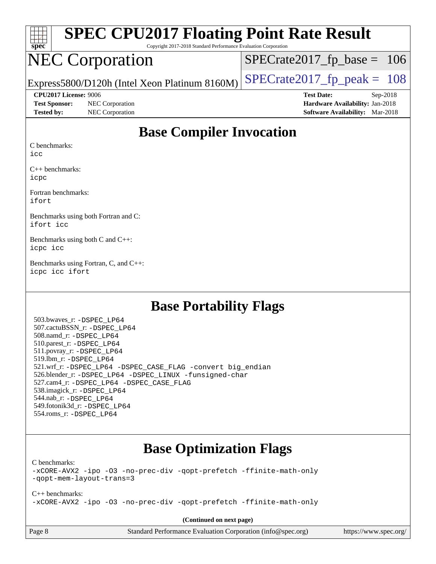| Spec                  | <b>SPEC CPU2017 Floating Point Rate Result</b><br>Copyright 2017-2018 Standard Performance Evaluation Corporation                            |                                        |  |
|-----------------------|----------------------------------------------------------------------------------------------------------------------------------------------|----------------------------------------|--|
|                       | <b>NEC Corporation</b>                                                                                                                       | $SPECrate2017_fp\_base = 106$          |  |
|                       | Express5800/D120h (Intel Xeon Platinum 8160M)                                                                                                | $SPECrate2017_fp\_peak = 108$          |  |
| CPU2017 License: 9006 |                                                                                                                                              | <b>Test Date:</b><br>$Sep-2018$        |  |
| <b>Test Sponsor:</b>  | NEC Corporation                                                                                                                              | Hardware Availability: Jan-2018        |  |
| <b>Tested by:</b>     | NEC Corporation                                                                                                                              | <b>Software Availability:</b> Mar-2018 |  |
|                       | $\mathbf{D}_{\alpha\alpha\alpha}$ $\mathbf{C}_{\alpha\beta\gamma\delta}$ $\mathbf{L}_{\alpha\gamma\delta}$ $\mathbf{L}_{\alpha\gamma\delta}$ |                                        |  |

#### **[Base Compiler Invocation](http://www.spec.org/auto/cpu2017/Docs/result-fields.html#BaseCompilerInvocation)**

[C benchmarks:](http://www.spec.org/auto/cpu2017/Docs/result-fields.html#Cbenchmarks)

[icc](http://www.spec.org/cpu2017/results/res2018q4/cpu2017-20181001-08953.flags.html#user_CCbase_intel_icc_18.0_66fc1ee009f7361af1fbd72ca7dcefbb700085f36577c54f309893dd4ec40d12360134090235512931783d35fd58c0460139e722d5067c5574d8eaf2b3e37e92)

[C++ benchmarks:](http://www.spec.org/auto/cpu2017/Docs/result-fields.html#CXXbenchmarks) [icpc](http://www.spec.org/cpu2017/results/res2018q4/cpu2017-20181001-08953.flags.html#user_CXXbase_intel_icpc_18.0_c510b6838c7f56d33e37e94d029a35b4a7bccf4766a728ee175e80a419847e808290a9b78be685c44ab727ea267ec2f070ec5dc83b407c0218cded6866a35d07)

[Fortran benchmarks](http://www.spec.org/auto/cpu2017/Docs/result-fields.html#Fortranbenchmarks): [ifort](http://www.spec.org/cpu2017/results/res2018q4/cpu2017-20181001-08953.flags.html#user_FCbase_intel_ifort_18.0_8111460550e3ca792625aed983ce982f94888b8b503583aa7ba2b8303487b4d8a21a13e7191a45c5fd58ff318f48f9492884d4413fa793fd88dd292cad7027ca)

[Benchmarks using both Fortran and C:](http://www.spec.org/auto/cpu2017/Docs/result-fields.html#BenchmarksusingbothFortranandC) [ifort](http://www.spec.org/cpu2017/results/res2018q4/cpu2017-20181001-08953.flags.html#user_CC_FCbase_intel_ifort_18.0_8111460550e3ca792625aed983ce982f94888b8b503583aa7ba2b8303487b4d8a21a13e7191a45c5fd58ff318f48f9492884d4413fa793fd88dd292cad7027ca) [icc](http://www.spec.org/cpu2017/results/res2018q4/cpu2017-20181001-08953.flags.html#user_CC_FCbase_intel_icc_18.0_66fc1ee009f7361af1fbd72ca7dcefbb700085f36577c54f309893dd4ec40d12360134090235512931783d35fd58c0460139e722d5067c5574d8eaf2b3e37e92)

[Benchmarks using both C and C++](http://www.spec.org/auto/cpu2017/Docs/result-fields.html#BenchmarksusingbothCandCXX): [icpc](http://www.spec.org/cpu2017/results/res2018q4/cpu2017-20181001-08953.flags.html#user_CC_CXXbase_intel_icpc_18.0_c510b6838c7f56d33e37e94d029a35b4a7bccf4766a728ee175e80a419847e808290a9b78be685c44ab727ea267ec2f070ec5dc83b407c0218cded6866a35d07) [icc](http://www.spec.org/cpu2017/results/res2018q4/cpu2017-20181001-08953.flags.html#user_CC_CXXbase_intel_icc_18.0_66fc1ee009f7361af1fbd72ca7dcefbb700085f36577c54f309893dd4ec40d12360134090235512931783d35fd58c0460139e722d5067c5574d8eaf2b3e37e92)

[Benchmarks using Fortran, C, and C++:](http://www.spec.org/auto/cpu2017/Docs/result-fields.html#BenchmarksusingFortranCandCXX) [icpc](http://www.spec.org/cpu2017/results/res2018q4/cpu2017-20181001-08953.flags.html#user_CC_CXX_FCbase_intel_icpc_18.0_c510b6838c7f56d33e37e94d029a35b4a7bccf4766a728ee175e80a419847e808290a9b78be685c44ab727ea267ec2f070ec5dc83b407c0218cded6866a35d07) [icc](http://www.spec.org/cpu2017/results/res2018q4/cpu2017-20181001-08953.flags.html#user_CC_CXX_FCbase_intel_icc_18.0_66fc1ee009f7361af1fbd72ca7dcefbb700085f36577c54f309893dd4ec40d12360134090235512931783d35fd58c0460139e722d5067c5574d8eaf2b3e37e92) [ifort](http://www.spec.org/cpu2017/results/res2018q4/cpu2017-20181001-08953.flags.html#user_CC_CXX_FCbase_intel_ifort_18.0_8111460550e3ca792625aed983ce982f94888b8b503583aa7ba2b8303487b4d8a21a13e7191a45c5fd58ff318f48f9492884d4413fa793fd88dd292cad7027ca)

### **[Base Portability Flags](http://www.spec.org/auto/cpu2017/Docs/result-fields.html#BasePortabilityFlags)**

 503.bwaves\_r: [-DSPEC\\_LP64](http://www.spec.org/cpu2017/results/res2018q4/cpu2017-20181001-08953.flags.html#suite_basePORTABILITY503_bwaves_r_DSPEC_LP64) 507.cactuBSSN\_r: [-DSPEC\\_LP64](http://www.spec.org/cpu2017/results/res2018q4/cpu2017-20181001-08953.flags.html#suite_basePORTABILITY507_cactuBSSN_r_DSPEC_LP64) 508.namd\_r: [-DSPEC\\_LP64](http://www.spec.org/cpu2017/results/res2018q4/cpu2017-20181001-08953.flags.html#suite_basePORTABILITY508_namd_r_DSPEC_LP64) 510.parest\_r: [-DSPEC\\_LP64](http://www.spec.org/cpu2017/results/res2018q4/cpu2017-20181001-08953.flags.html#suite_basePORTABILITY510_parest_r_DSPEC_LP64) 511.povray\_r: [-DSPEC\\_LP64](http://www.spec.org/cpu2017/results/res2018q4/cpu2017-20181001-08953.flags.html#suite_basePORTABILITY511_povray_r_DSPEC_LP64) 519.lbm\_r: [-DSPEC\\_LP64](http://www.spec.org/cpu2017/results/res2018q4/cpu2017-20181001-08953.flags.html#suite_basePORTABILITY519_lbm_r_DSPEC_LP64) 521.wrf\_r: [-DSPEC\\_LP64](http://www.spec.org/cpu2017/results/res2018q4/cpu2017-20181001-08953.flags.html#suite_basePORTABILITY521_wrf_r_DSPEC_LP64) [-DSPEC\\_CASE\\_FLAG](http://www.spec.org/cpu2017/results/res2018q4/cpu2017-20181001-08953.flags.html#b521.wrf_r_baseCPORTABILITY_DSPEC_CASE_FLAG) [-convert big\\_endian](http://www.spec.org/cpu2017/results/res2018q4/cpu2017-20181001-08953.flags.html#user_baseFPORTABILITY521_wrf_r_convert_big_endian_c3194028bc08c63ac5d04de18c48ce6d347e4e562e8892b8bdbdc0214820426deb8554edfa529a3fb25a586e65a3d812c835984020483e7e73212c4d31a38223) 526.blender\_r: [-DSPEC\\_LP64](http://www.spec.org/cpu2017/results/res2018q4/cpu2017-20181001-08953.flags.html#suite_basePORTABILITY526_blender_r_DSPEC_LP64) [-DSPEC\\_LINUX](http://www.spec.org/cpu2017/results/res2018q4/cpu2017-20181001-08953.flags.html#b526.blender_r_baseCPORTABILITY_DSPEC_LINUX) [-funsigned-char](http://www.spec.org/cpu2017/results/res2018q4/cpu2017-20181001-08953.flags.html#user_baseCPORTABILITY526_blender_r_force_uchar_40c60f00ab013830e2dd6774aeded3ff59883ba5a1fc5fc14077f794d777847726e2a5858cbc7672e36e1b067e7e5c1d9a74f7176df07886a243d7cc18edfe67) 527.cam4\_r: [-DSPEC\\_LP64](http://www.spec.org/cpu2017/results/res2018q4/cpu2017-20181001-08953.flags.html#suite_basePORTABILITY527_cam4_r_DSPEC_LP64) [-DSPEC\\_CASE\\_FLAG](http://www.spec.org/cpu2017/results/res2018q4/cpu2017-20181001-08953.flags.html#b527.cam4_r_baseCPORTABILITY_DSPEC_CASE_FLAG) 538.imagick\_r: [-DSPEC\\_LP64](http://www.spec.org/cpu2017/results/res2018q4/cpu2017-20181001-08953.flags.html#suite_basePORTABILITY538_imagick_r_DSPEC_LP64) 544.nab\_r: [-DSPEC\\_LP64](http://www.spec.org/cpu2017/results/res2018q4/cpu2017-20181001-08953.flags.html#suite_basePORTABILITY544_nab_r_DSPEC_LP64) 549.fotonik3d\_r: [-DSPEC\\_LP64](http://www.spec.org/cpu2017/results/res2018q4/cpu2017-20181001-08953.flags.html#suite_basePORTABILITY549_fotonik3d_r_DSPEC_LP64) 554.roms\_r: [-DSPEC\\_LP64](http://www.spec.org/cpu2017/results/res2018q4/cpu2017-20181001-08953.flags.html#suite_basePORTABILITY554_roms_r_DSPEC_LP64)

### **[Base Optimization Flags](http://www.spec.org/auto/cpu2017/Docs/result-fields.html#BaseOptimizationFlags)**

[C benchmarks](http://www.spec.org/auto/cpu2017/Docs/result-fields.html#Cbenchmarks):

[-xCORE-AVX2](http://www.spec.org/cpu2017/results/res2018q4/cpu2017-20181001-08953.flags.html#user_CCbase_f-xCORE-AVX2) [-ipo](http://www.spec.org/cpu2017/results/res2018q4/cpu2017-20181001-08953.flags.html#user_CCbase_f-ipo) [-O3](http://www.spec.org/cpu2017/results/res2018q4/cpu2017-20181001-08953.flags.html#user_CCbase_f-O3) [-no-prec-div](http://www.spec.org/cpu2017/results/res2018q4/cpu2017-20181001-08953.flags.html#user_CCbase_f-no-prec-div) [-qopt-prefetch](http://www.spec.org/cpu2017/results/res2018q4/cpu2017-20181001-08953.flags.html#user_CCbase_f-qopt-prefetch) [-ffinite-math-only](http://www.spec.org/cpu2017/results/res2018q4/cpu2017-20181001-08953.flags.html#user_CCbase_f_finite_math_only_cb91587bd2077682c4b38af759c288ed7c732db004271a9512da14a4f8007909a5f1427ecbf1a0fb78ff2a814402c6114ac565ca162485bbcae155b5e4258871) [-qopt-mem-layout-trans=3](http://www.spec.org/cpu2017/results/res2018q4/cpu2017-20181001-08953.flags.html#user_CCbase_f-qopt-mem-layout-trans_de80db37974c74b1f0e20d883f0b675c88c3b01e9d123adea9b28688d64333345fb62bc4a798493513fdb68f60282f9a726aa07f478b2f7113531aecce732043)

[C++ benchmarks:](http://www.spec.org/auto/cpu2017/Docs/result-fields.html#CXXbenchmarks) [-xCORE-AVX2](http://www.spec.org/cpu2017/results/res2018q4/cpu2017-20181001-08953.flags.html#user_CXXbase_f-xCORE-AVX2) [-ipo](http://www.spec.org/cpu2017/results/res2018q4/cpu2017-20181001-08953.flags.html#user_CXXbase_f-ipo) [-O3](http://www.spec.org/cpu2017/results/res2018q4/cpu2017-20181001-08953.flags.html#user_CXXbase_f-O3) [-no-prec-div](http://www.spec.org/cpu2017/results/res2018q4/cpu2017-20181001-08953.flags.html#user_CXXbase_f-no-prec-div) [-qopt-prefetch](http://www.spec.org/cpu2017/results/res2018q4/cpu2017-20181001-08953.flags.html#user_CXXbase_f-qopt-prefetch) [-ffinite-math-only](http://www.spec.org/cpu2017/results/res2018q4/cpu2017-20181001-08953.flags.html#user_CXXbase_f_finite_math_only_cb91587bd2077682c4b38af759c288ed7c732db004271a9512da14a4f8007909a5f1427ecbf1a0fb78ff2a814402c6114ac565ca162485bbcae155b5e4258871)

**(Continued on next page)**

Page 8 Standard Performance Evaluation Corporation [\(info@spec.org\)](mailto:info@spec.org) <https://www.spec.org/>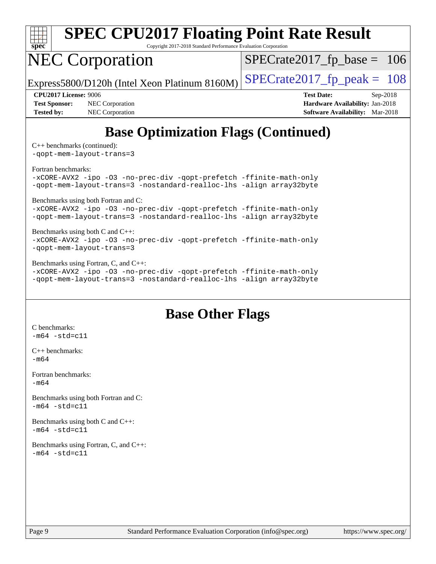

# **[SPEC CPU2017 Floating Point Rate Result](http://www.spec.org/auto/cpu2017/Docs/result-fields.html#SPECCPU2017FloatingPointRateResult)**

Copyright 2017-2018 Standard Performance Evaluation Corporation

## NEC Corporation

 $SPECTate2017_fp\_base = 106$ 

Express5800/D120h (Intel Xeon Platinum 8160M)  $\left|$  [SPECrate2017\\_fp\\_peak =](http://www.spec.org/auto/cpu2017/Docs/result-fields.html#SPECrate2017fppeak) 108

**[Test Sponsor:](http://www.spec.org/auto/cpu2017/Docs/result-fields.html#TestSponsor)** NEC Corporation **[Hardware Availability:](http://www.spec.org/auto/cpu2017/Docs/result-fields.html#HardwareAvailability)** Jan-2018 **[Tested by:](http://www.spec.org/auto/cpu2017/Docs/result-fields.html#Testedby)** NEC Corporation **[Software Availability:](http://www.spec.org/auto/cpu2017/Docs/result-fields.html#SoftwareAvailability)** Mar-2018

**[CPU2017 License:](http://www.spec.org/auto/cpu2017/Docs/result-fields.html#CPU2017License)** 9006 **[Test Date:](http://www.spec.org/auto/cpu2017/Docs/result-fields.html#TestDate)** Sep-2018

## **[Base Optimization Flags \(Continued\)](http://www.spec.org/auto/cpu2017/Docs/result-fields.html#BaseOptimizationFlags)**

[C++ benchmarks](http://www.spec.org/auto/cpu2017/Docs/result-fields.html#CXXbenchmarks) (continued): [-qopt-mem-layout-trans=3](http://www.spec.org/cpu2017/results/res2018q4/cpu2017-20181001-08953.flags.html#user_CXXbase_f-qopt-mem-layout-trans_de80db37974c74b1f0e20d883f0b675c88c3b01e9d123adea9b28688d64333345fb62bc4a798493513fdb68f60282f9a726aa07f478b2f7113531aecce732043)

[Fortran benchmarks](http://www.spec.org/auto/cpu2017/Docs/result-fields.html#Fortranbenchmarks):

[-xCORE-AVX2](http://www.spec.org/cpu2017/results/res2018q4/cpu2017-20181001-08953.flags.html#user_FCbase_f-xCORE-AVX2) [-ipo](http://www.spec.org/cpu2017/results/res2018q4/cpu2017-20181001-08953.flags.html#user_FCbase_f-ipo) [-O3](http://www.spec.org/cpu2017/results/res2018q4/cpu2017-20181001-08953.flags.html#user_FCbase_f-O3) [-no-prec-div](http://www.spec.org/cpu2017/results/res2018q4/cpu2017-20181001-08953.flags.html#user_FCbase_f-no-prec-div) [-qopt-prefetch](http://www.spec.org/cpu2017/results/res2018q4/cpu2017-20181001-08953.flags.html#user_FCbase_f-qopt-prefetch) [-ffinite-math-only](http://www.spec.org/cpu2017/results/res2018q4/cpu2017-20181001-08953.flags.html#user_FCbase_f_finite_math_only_cb91587bd2077682c4b38af759c288ed7c732db004271a9512da14a4f8007909a5f1427ecbf1a0fb78ff2a814402c6114ac565ca162485bbcae155b5e4258871) [-qopt-mem-layout-trans=3](http://www.spec.org/cpu2017/results/res2018q4/cpu2017-20181001-08953.flags.html#user_FCbase_f-qopt-mem-layout-trans_de80db37974c74b1f0e20d883f0b675c88c3b01e9d123adea9b28688d64333345fb62bc4a798493513fdb68f60282f9a726aa07f478b2f7113531aecce732043) [-nostandard-realloc-lhs](http://www.spec.org/cpu2017/results/res2018q4/cpu2017-20181001-08953.flags.html#user_FCbase_f_2003_std_realloc_82b4557e90729c0f113870c07e44d33d6f5a304b4f63d4c15d2d0f1fab99f5daaed73bdb9275d9ae411527f28b936061aa8b9c8f2d63842963b95c9dd6426b8a) [-align array32byte](http://www.spec.org/cpu2017/results/res2018q4/cpu2017-20181001-08953.flags.html#user_FCbase_align_array32byte_b982fe038af199962ba9a80c053b8342c548c85b40b8e86eb3cc33dee0d7986a4af373ac2d51c3f7cf710a18d62fdce2948f201cd044323541f22fc0fffc51b6)

[Benchmarks using both Fortran and C](http://www.spec.org/auto/cpu2017/Docs/result-fields.html#BenchmarksusingbothFortranandC):

[-xCORE-AVX2](http://www.spec.org/cpu2017/results/res2018q4/cpu2017-20181001-08953.flags.html#user_CC_FCbase_f-xCORE-AVX2) [-ipo](http://www.spec.org/cpu2017/results/res2018q4/cpu2017-20181001-08953.flags.html#user_CC_FCbase_f-ipo) [-O3](http://www.spec.org/cpu2017/results/res2018q4/cpu2017-20181001-08953.flags.html#user_CC_FCbase_f-O3) [-no-prec-div](http://www.spec.org/cpu2017/results/res2018q4/cpu2017-20181001-08953.flags.html#user_CC_FCbase_f-no-prec-div) [-qopt-prefetch](http://www.spec.org/cpu2017/results/res2018q4/cpu2017-20181001-08953.flags.html#user_CC_FCbase_f-qopt-prefetch) [-ffinite-math-only](http://www.spec.org/cpu2017/results/res2018q4/cpu2017-20181001-08953.flags.html#user_CC_FCbase_f_finite_math_only_cb91587bd2077682c4b38af759c288ed7c732db004271a9512da14a4f8007909a5f1427ecbf1a0fb78ff2a814402c6114ac565ca162485bbcae155b5e4258871) [-qopt-mem-layout-trans=3](http://www.spec.org/cpu2017/results/res2018q4/cpu2017-20181001-08953.flags.html#user_CC_FCbase_f-qopt-mem-layout-trans_de80db37974c74b1f0e20d883f0b675c88c3b01e9d123adea9b28688d64333345fb62bc4a798493513fdb68f60282f9a726aa07f478b2f7113531aecce732043) [-nostandard-realloc-lhs](http://www.spec.org/cpu2017/results/res2018q4/cpu2017-20181001-08953.flags.html#user_CC_FCbase_f_2003_std_realloc_82b4557e90729c0f113870c07e44d33d6f5a304b4f63d4c15d2d0f1fab99f5daaed73bdb9275d9ae411527f28b936061aa8b9c8f2d63842963b95c9dd6426b8a) [-align array32byte](http://www.spec.org/cpu2017/results/res2018q4/cpu2017-20181001-08953.flags.html#user_CC_FCbase_align_array32byte_b982fe038af199962ba9a80c053b8342c548c85b40b8e86eb3cc33dee0d7986a4af373ac2d51c3f7cf710a18d62fdce2948f201cd044323541f22fc0fffc51b6)

#### [Benchmarks using both C and C++](http://www.spec.org/auto/cpu2017/Docs/result-fields.html#BenchmarksusingbothCandCXX): [-xCORE-AVX2](http://www.spec.org/cpu2017/results/res2018q4/cpu2017-20181001-08953.flags.html#user_CC_CXXbase_f-xCORE-AVX2) [-ipo](http://www.spec.org/cpu2017/results/res2018q4/cpu2017-20181001-08953.flags.html#user_CC_CXXbase_f-ipo) [-O3](http://www.spec.org/cpu2017/results/res2018q4/cpu2017-20181001-08953.flags.html#user_CC_CXXbase_f-O3) [-no-prec-div](http://www.spec.org/cpu2017/results/res2018q4/cpu2017-20181001-08953.flags.html#user_CC_CXXbase_f-no-prec-div) [-qopt-prefetch](http://www.spec.org/cpu2017/results/res2018q4/cpu2017-20181001-08953.flags.html#user_CC_CXXbase_f-qopt-prefetch) [-ffinite-math-only](http://www.spec.org/cpu2017/results/res2018q4/cpu2017-20181001-08953.flags.html#user_CC_CXXbase_f_finite_math_only_cb91587bd2077682c4b38af759c288ed7c732db004271a9512da14a4f8007909a5f1427ecbf1a0fb78ff2a814402c6114ac565ca162485bbcae155b5e4258871) [-qopt-mem-layout-trans=3](http://www.spec.org/cpu2017/results/res2018q4/cpu2017-20181001-08953.flags.html#user_CC_CXXbase_f-qopt-mem-layout-trans_de80db37974c74b1f0e20d883f0b675c88c3b01e9d123adea9b28688d64333345fb62bc4a798493513fdb68f60282f9a726aa07f478b2f7113531aecce732043)

[Benchmarks using Fortran, C, and C++:](http://www.spec.org/auto/cpu2017/Docs/result-fields.html#BenchmarksusingFortranCandCXX)

[-xCORE-AVX2](http://www.spec.org/cpu2017/results/res2018q4/cpu2017-20181001-08953.flags.html#user_CC_CXX_FCbase_f-xCORE-AVX2) [-ipo](http://www.spec.org/cpu2017/results/res2018q4/cpu2017-20181001-08953.flags.html#user_CC_CXX_FCbase_f-ipo) [-O3](http://www.spec.org/cpu2017/results/res2018q4/cpu2017-20181001-08953.flags.html#user_CC_CXX_FCbase_f-O3) [-no-prec-div](http://www.spec.org/cpu2017/results/res2018q4/cpu2017-20181001-08953.flags.html#user_CC_CXX_FCbase_f-no-prec-div) [-qopt-prefetch](http://www.spec.org/cpu2017/results/res2018q4/cpu2017-20181001-08953.flags.html#user_CC_CXX_FCbase_f-qopt-prefetch) [-ffinite-math-only](http://www.spec.org/cpu2017/results/res2018q4/cpu2017-20181001-08953.flags.html#user_CC_CXX_FCbase_f_finite_math_only_cb91587bd2077682c4b38af759c288ed7c732db004271a9512da14a4f8007909a5f1427ecbf1a0fb78ff2a814402c6114ac565ca162485bbcae155b5e4258871) [-qopt-mem-layout-trans=3](http://www.spec.org/cpu2017/results/res2018q4/cpu2017-20181001-08953.flags.html#user_CC_CXX_FCbase_f-qopt-mem-layout-trans_de80db37974c74b1f0e20d883f0b675c88c3b01e9d123adea9b28688d64333345fb62bc4a798493513fdb68f60282f9a726aa07f478b2f7113531aecce732043) [-nostandard-realloc-lhs](http://www.spec.org/cpu2017/results/res2018q4/cpu2017-20181001-08953.flags.html#user_CC_CXX_FCbase_f_2003_std_realloc_82b4557e90729c0f113870c07e44d33d6f5a304b4f63d4c15d2d0f1fab99f5daaed73bdb9275d9ae411527f28b936061aa8b9c8f2d63842963b95c9dd6426b8a) [-align array32byte](http://www.spec.org/cpu2017/results/res2018q4/cpu2017-20181001-08953.flags.html#user_CC_CXX_FCbase_align_array32byte_b982fe038af199962ba9a80c053b8342c548c85b40b8e86eb3cc33dee0d7986a4af373ac2d51c3f7cf710a18d62fdce2948f201cd044323541f22fc0fffc51b6)

### **[Base Other Flags](http://www.spec.org/auto/cpu2017/Docs/result-fields.html#BaseOtherFlags)**

[C benchmarks](http://www.spec.org/auto/cpu2017/Docs/result-fields.html#Cbenchmarks):  $-m64 - std= c11$  $-m64 - std= c11$ [C++ benchmarks:](http://www.spec.org/auto/cpu2017/Docs/result-fields.html#CXXbenchmarks) [-m64](http://www.spec.org/cpu2017/results/res2018q4/cpu2017-20181001-08953.flags.html#user_CXXbase_intel_intel64_18.0_af43caccfc8ded86e7699f2159af6efc7655f51387b94da716254467f3c01020a5059329e2569e4053f409e7c9202a7efc638f7a6d1ffb3f52dea4a3e31d82ab) [Fortran benchmarks](http://www.spec.org/auto/cpu2017/Docs/result-fields.html#Fortranbenchmarks):  $-m64$ [Benchmarks using both Fortran and C](http://www.spec.org/auto/cpu2017/Docs/result-fields.html#BenchmarksusingbothFortranandC):  $-m64 - std= c11$  $-m64 - std= c11$ [Benchmarks using both C and C++](http://www.spec.org/auto/cpu2017/Docs/result-fields.html#BenchmarksusingbothCandCXX):  $-m64 - std= c11$  $-m64 - std= c11$ [Benchmarks using Fortran, C, and C++:](http://www.spec.org/auto/cpu2017/Docs/result-fields.html#BenchmarksusingFortranCandCXX)  $-m64 - std= c11$  $-m64 - std= c11$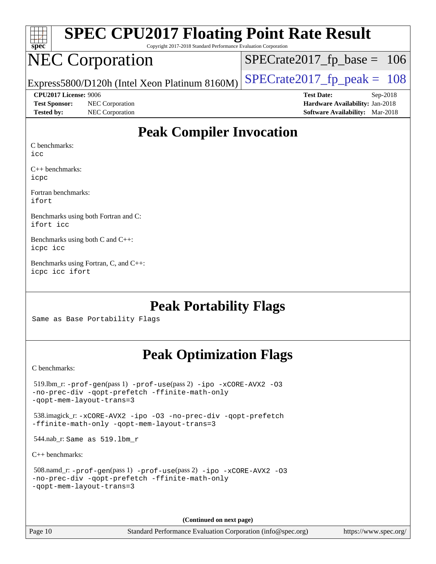| <b>SPEC CPU2017 Floating Point Rate Result</b><br>spec<br>Copyright 2017-2018 Standard Performance Evaluation Corporation |                                               |                                        |
|---------------------------------------------------------------------------------------------------------------------------|-----------------------------------------------|----------------------------------------|
|                                                                                                                           | <b>NEC Corporation</b>                        | $SPECrate2017_fp\_base = 106$          |
|                                                                                                                           | Express5800/D120h (Intel Xeon Platinum 8160M) | $SPECrate2017fp peak = 108$            |
| CPU2017 License: 9006                                                                                                     |                                               | <b>Test Date:</b><br>$Sep-2018$        |
| <b>Test Sponsor:</b>                                                                                                      | NEC Corporation                               | Hardware Availability: Jan-2018        |
| <b>Tested by:</b>                                                                                                         | NEC Corporation                               | <b>Software Availability:</b> Mar-2018 |
| Peak Compiler Invocation                                                                                                  |                                               |                                        |

#### **[Peak Compiler Invocation](http://www.spec.org/auto/cpu2017/Docs/result-fields.html#PeakCompilerInvocation)**

[C benchmarks:](http://www.spec.org/auto/cpu2017/Docs/result-fields.html#Cbenchmarks)

[icc](http://www.spec.org/cpu2017/results/res2018q4/cpu2017-20181001-08953.flags.html#user_CCpeak_intel_icc_18.0_66fc1ee009f7361af1fbd72ca7dcefbb700085f36577c54f309893dd4ec40d12360134090235512931783d35fd58c0460139e722d5067c5574d8eaf2b3e37e92)

[C++ benchmarks](http://www.spec.org/auto/cpu2017/Docs/result-fields.html#CXXbenchmarks): [icpc](http://www.spec.org/cpu2017/results/res2018q4/cpu2017-20181001-08953.flags.html#user_CXXpeak_intel_icpc_18.0_c510b6838c7f56d33e37e94d029a35b4a7bccf4766a728ee175e80a419847e808290a9b78be685c44ab727ea267ec2f070ec5dc83b407c0218cded6866a35d07)

[Fortran benchmarks:](http://www.spec.org/auto/cpu2017/Docs/result-fields.html#Fortranbenchmarks) [ifort](http://www.spec.org/cpu2017/results/res2018q4/cpu2017-20181001-08953.flags.html#user_FCpeak_intel_ifort_18.0_8111460550e3ca792625aed983ce982f94888b8b503583aa7ba2b8303487b4d8a21a13e7191a45c5fd58ff318f48f9492884d4413fa793fd88dd292cad7027ca)

[Benchmarks using both Fortran and C:](http://www.spec.org/auto/cpu2017/Docs/result-fields.html#BenchmarksusingbothFortranandC) [ifort](http://www.spec.org/cpu2017/results/res2018q4/cpu2017-20181001-08953.flags.html#user_CC_FCpeak_intel_ifort_18.0_8111460550e3ca792625aed983ce982f94888b8b503583aa7ba2b8303487b4d8a21a13e7191a45c5fd58ff318f48f9492884d4413fa793fd88dd292cad7027ca) [icc](http://www.spec.org/cpu2017/results/res2018q4/cpu2017-20181001-08953.flags.html#user_CC_FCpeak_intel_icc_18.0_66fc1ee009f7361af1fbd72ca7dcefbb700085f36577c54f309893dd4ec40d12360134090235512931783d35fd58c0460139e722d5067c5574d8eaf2b3e37e92)

[Benchmarks using both C and C++](http://www.spec.org/auto/cpu2017/Docs/result-fields.html#BenchmarksusingbothCandCXX): [icpc](http://www.spec.org/cpu2017/results/res2018q4/cpu2017-20181001-08953.flags.html#user_CC_CXXpeak_intel_icpc_18.0_c510b6838c7f56d33e37e94d029a35b4a7bccf4766a728ee175e80a419847e808290a9b78be685c44ab727ea267ec2f070ec5dc83b407c0218cded6866a35d07) [icc](http://www.spec.org/cpu2017/results/res2018q4/cpu2017-20181001-08953.flags.html#user_CC_CXXpeak_intel_icc_18.0_66fc1ee009f7361af1fbd72ca7dcefbb700085f36577c54f309893dd4ec40d12360134090235512931783d35fd58c0460139e722d5067c5574d8eaf2b3e37e92)

[Benchmarks using Fortran, C, and C++:](http://www.spec.org/auto/cpu2017/Docs/result-fields.html#BenchmarksusingFortranCandCXX) [icpc](http://www.spec.org/cpu2017/results/res2018q4/cpu2017-20181001-08953.flags.html#user_CC_CXX_FCpeak_intel_icpc_18.0_c510b6838c7f56d33e37e94d029a35b4a7bccf4766a728ee175e80a419847e808290a9b78be685c44ab727ea267ec2f070ec5dc83b407c0218cded6866a35d07) [icc](http://www.spec.org/cpu2017/results/res2018q4/cpu2017-20181001-08953.flags.html#user_CC_CXX_FCpeak_intel_icc_18.0_66fc1ee009f7361af1fbd72ca7dcefbb700085f36577c54f309893dd4ec40d12360134090235512931783d35fd58c0460139e722d5067c5574d8eaf2b3e37e92) [ifort](http://www.spec.org/cpu2017/results/res2018q4/cpu2017-20181001-08953.flags.html#user_CC_CXX_FCpeak_intel_ifort_18.0_8111460550e3ca792625aed983ce982f94888b8b503583aa7ba2b8303487b4d8a21a13e7191a45c5fd58ff318f48f9492884d4413fa793fd88dd292cad7027ca)

### **[Peak Portability Flags](http://www.spec.org/auto/cpu2017/Docs/result-fields.html#PeakPortabilityFlags)**

Same as Base Portability Flags

### **[Peak Optimization Flags](http://www.spec.org/auto/cpu2017/Docs/result-fields.html#PeakOptimizationFlags)**

[C benchmarks](http://www.spec.org/auto/cpu2017/Docs/result-fields.html#Cbenchmarks):

**(Continued on next page)**

Page 10 Standard Performance Evaluation Corporation [\(info@spec.org\)](mailto:info@spec.org) <https://www.spec.org/>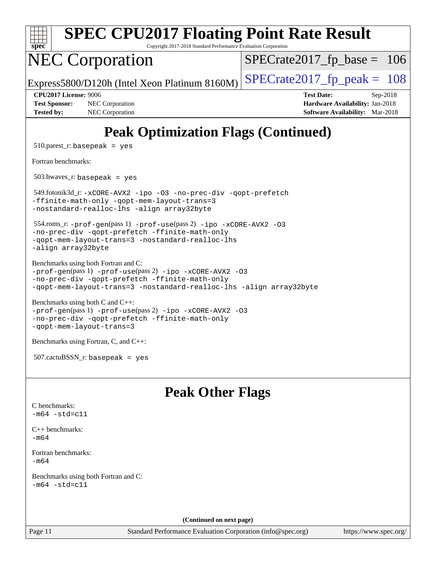| <b>SPEC CPU2017 Floating Point Rate Result</b><br>Copyright 2017-2018 Standard Performance Evaluation Corporation<br>spec                                                                                                 |                                                                                                            |  |
|---------------------------------------------------------------------------------------------------------------------------------------------------------------------------------------------------------------------------|------------------------------------------------------------------------------------------------------------|--|
| <b>NEC Corporation</b>                                                                                                                                                                                                    | $SPECrate2017_fp\_base = 106$                                                                              |  |
| Express5800/D120h (Intel Xeon Platinum 8160M)                                                                                                                                                                             | $SPECrate2017_fp\_peak = 108$                                                                              |  |
| CPU2017 License: 9006<br><b>Test Sponsor:</b><br>NEC Corporation<br>NEC Corporation<br><b>Tested by:</b>                                                                                                                  | <b>Test Date:</b><br>Sep-2018<br>Hardware Availability: Jan-2018<br><b>Software Availability:</b> Mar-2018 |  |
| <b>Peak Optimization Flags (Continued)</b>                                                                                                                                                                                |                                                                                                            |  |
| $510.parse$ g: basepeak = yes                                                                                                                                                                                             |                                                                                                            |  |
| Fortran benchmarks:                                                                                                                                                                                                       |                                                                                                            |  |
| $503.bwaves$ r: basepeak = yes                                                                                                                                                                                            |                                                                                                            |  |
| 549.fotonik3d_r:-xCORE-AVX2 -ipo -03 -no-prec-div -qopt-prefetch<br>-ffinite-math-only -qopt-mem-layout-trans=3<br>-nostandard-realloc-lhs -align array32byte                                                             |                                                                                                            |  |
| 554.roms_r: -prof-gen(pass 1) -prof-use(pass 2) -ipo -xCORE-AVX2 -03<br>-no-prec-div -qopt-prefetch -ffinite-math-only<br>-qopt-mem-layout-trans=3 -nostandard-realloc-lhs<br>-align array32byte                          |                                                                                                            |  |
| Benchmarks using both Fortran and C:<br>-prof-gen(pass 1) -prof-use(pass 2) -ipo -xCORE-AVX2 -03<br>-no-prec-div -qopt-prefetch -ffinite-math-only<br>-qopt-mem-layout-trans=3 -nostandard-realloc-lhs -align array32byte |                                                                                                            |  |
| Benchmarks using both C and C++:<br>-prof-gen(pass 1) -prof-use(pass 2) -ipo -xCORE-AVX2 -03<br>-no-prec-div -qopt-prefetch -ffinite-math-only<br>-qopt-mem-layout-trans=3                                                |                                                                                                            |  |
| Benchmarks using Fortran, C, and C++:                                                                                                                                                                                     |                                                                                                            |  |
| $507.cactuBSSN_r$ : basepeak = yes                                                                                                                                                                                        |                                                                                                            |  |
| <b>Peak Other Flags</b>                                                                                                                                                                                                   |                                                                                                            |  |
| C benchmarks:<br>$-m64 - std = c11$                                                                                                                                                                                       |                                                                                                            |  |
| $C++$ benchmarks:<br>$-m64$                                                                                                                                                                                               |                                                                                                            |  |
| Fortran benchmarks:<br>$-m64$                                                                                                                                                                                             |                                                                                                            |  |

[Benchmarks using both Fortran and C](http://www.spec.org/auto/cpu2017/Docs/result-fields.html#BenchmarksusingbothFortranandC):  $-m64 - std= c11$  $-m64 - std= c11$ 

**(Continued on next page)**

Page 11 Standard Performance Evaluation Corporation [\(info@spec.org\)](mailto:info@spec.org) <https://www.spec.org/>